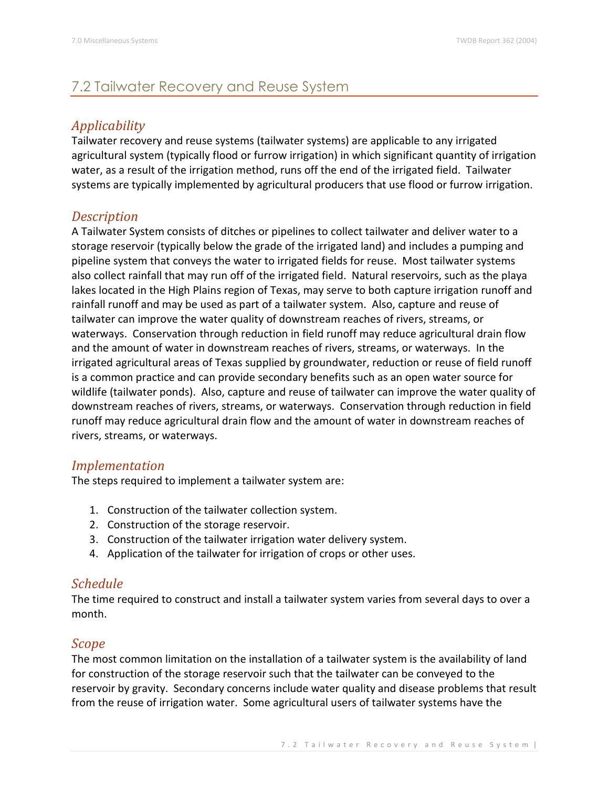# 7.2 Tailwater Recovery and Reuse System

## *Applicability*

Tailwater recovery and reuse systems (tailwater systems) are applicable to any irrigated agricultural system (typically flood or furrow irrigation) in which significant quantity of irrigation water, as a result of the irrigation method, runs off the end of the irrigated field. Tailwater systems are typically implemented by agricultural producers that use flood or furrow irrigation.

### *Description*

A Tailwater System consists of ditches or pipelines to collect tailwater and deliver water to a storage reservoir (typically below the grade of the irrigated land) and includes a pumping and pipeline system that conveys the water to irrigated fields for reuse. Most tailwater systems also collect rainfall that may run off of the irrigated field. Natural reservoirs, such as the playa lakes located in the High Plains region of Texas, may serve to both capture irrigation runoff and rainfall runoff and may be used as part of a tailwater system. Also, capture and reuse of tailwater can improve the water quality of downstream reaches of rivers, streams, or waterways. Conservation through reduction in field runoff may reduce agricultural drain flow and the amount of water in downstream reaches of rivers, streams, or waterways. In the irrigated agricultural areas of Texas supplied by groundwater, reduction or reuse of field runoff is a common practice and can provide secondary benefits such as an open water source for wildlife (tailwater ponds). Also, capture and reuse of tailwater can improve the water quality of downstream reaches of rivers, streams, or waterways. Conservation through reduction in field runoff may reduce agricultural drain flow and the amount of water in downstream reaches of rivers, streams, or waterways.

### *Implementation*

The steps required to implement a tailwater system are:

- 1. Construction of the tailwater collection system.
- 2. Construction of the storage reservoir.
- 3. Construction of the tailwater irrigation water delivery system.
- 4. Application of the tailwater for irrigation of crops or other uses.

### *Schedule*

The time required to construct and install a tailwater system varies from several days to over a month.

### *Scope*

The most common limitation on the installation of a tailwater system is the availability of land for construction of the storage reservoir such that the tailwater can be conveyed to the reservoir by gravity. Secondary concerns include water quality and disease problems that result from the reuse of irrigation water. Some agricultural users of tailwater systems have the